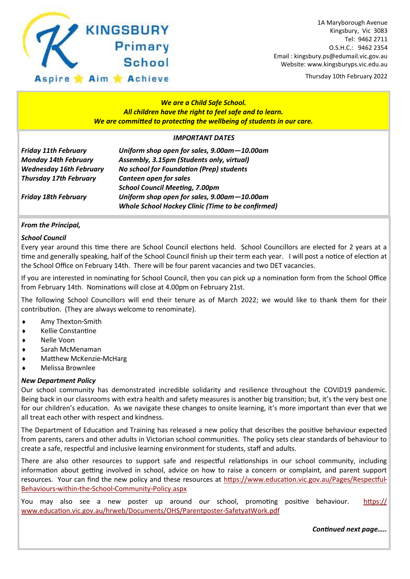

Thursday 10th February 2022

#### *We are a Child Safe School. All children have the right to feel safe and to learn. We are committed to protecting the wellbeing of students in our care.*

#### *IMPORTANT DATES*

| <b>Friday 11th February</b>    | Uniform shop open for sales, 9.00am-10.00am              |
|--------------------------------|----------------------------------------------------------|
| <b>Monday 14th February</b>    | Assembly, 3.15pm (Students only, virtual)                |
| <b>Wednesday 16th February</b> | <b>No school for Foundation (Prep) students</b>          |
| <b>Thursday 17th February</b>  | Canteen open for sales                                   |
|                                | <b>School Council Meeting, 7.00pm</b>                    |
| <b>Friday 18th February</b>    | Uniform shop open for sales, 9.00am-10.00am              |
|                                | <b>Whole School Hockey Clinic (Time to be confirmed)</b> |

#### *From the Principal,*

#### *School Council*

Every year around this time there are School Council elections held. School Councillors are elected for 2 years at a time and generally speaking, half of the School Council finish up their term each year. I will post a notice of election at the School Office on February 14th. There will be four parent vacancies and two DET vacancies.

If you are interested in nominating for School Council, then you can pick up a nomination form from the School Office from February 14th. Nominations will close at 4.00pm on February 21st.

The following School Councillors will end their tenure as of March 2022; we would like to thank them for their contribution. (They are always welcome to renominate).

- Amy Thexton-Smith
- Kellie Constantine
- Nelle Voon
- Sarah McMenaman
- Matthew McKenzie-McHarg
- Melissa Brownlee

#### *New Department Policy*

Our school community has demonstrated incredible solidarity and resilience throughout the COVID19 pandemic. Being back in our classrooms with extra health and safety measures is another big transition; but, it's the very best one for our children's education. As we navigate these changes to onsite learning, it's more important than ever that we all treat each other with respect and kindness.

The Department of Education and Training has released a new policy that describes the positive behaviour expected from parents, carers and other adults in Victorian school communities. The policy sets clear standards of behaviour to create a safe, respectful and inclusive learning environment for students, staff and adults.

There are also other resources to support safe and respectful relationships in our school community, including information about getting involved in school, advice on how to raise a concern or complaint, and parent support resources. Your can find the new policy and these resources at [https://www.education.vic.gov.au/Pages/Respectful-](https://www.education.vic.gov.au/Pages/Respectful-Behaviours-within-the-School-Community-Policy.aspx)[Behaviours-within-the-School-Community-Policy.aspx](https://www.education.vic.gov.au/Pages/Respectful-Behaviours-within-the-School-Community-Policy.aspx)

You may also see a new poster up around our school, promoting positive behaviour. [https://](https://www.education.vic.gov.au/hrweb/Documents/OHS/Parentposter-SafetyatWork.pdf) [www.education.vic.gov.au/hrweb/Documents/OHS/Parentposter-SafetyatWork.pdf](https://www.education.vic.gov.au/hrweb/Documents/OHS/Parentposter-SafetyatWork.pdf)

*Continued next page…..*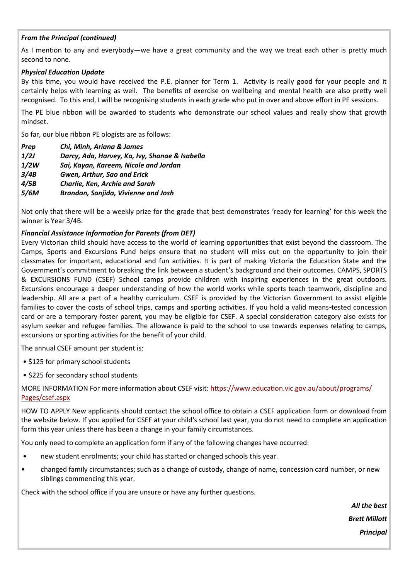#### *From the Principal (continued)*

As I mention to any and everybody—we have a great community and the way we treat each other is pretty much second to none.

#### *Physical Education Update*

By this time, you would have received the P.E. planner for Term 1. Activity is really good for your people and it certainly helps with learning as well. The benefits of exercise on wellbeing and mental health are also pretty well recognised. To this end, I will be recognising students in each grade who put in over and above effort in PE sessions.

The PE blue ribbon will be awarded to students who demonstrate our school values and really show that growth mindset.

So far, our blue ribbon PE ologists are as follows:

| <b>Prep</b> | Chi, Minh, Ariana & James                      |
|-------------|------------------------------------------------|
| 1/2J        | Darcy, Ada, Harvey, Ka, Ivy, Shanae & Isabella |
| 1/2W        | Sai, Kayan, Kareem, Nicole and Jordan          |
| 3/4B        | Gwen, Arthur, Sao and Erick                    |
| 4/5B        | <b>Charlie, Ken, Archie and Sarah</b>          |
| 5/6M        | Brandan, Sanjida, Vivienne and Josh            |

Not only that there will be a weekly prize for the grade that best demonstrates 'ready for learning' for this week the winner is Year 3/4B.

#### *Financial Assistance Information for Parents (from DET)*

Every Victorian child should have access to the world of learning opportunities that exist beyond the classroom. The Camps, Sports and Excursions Fund helps ensure that no student will miss out on the opportunity to join their classmates for important, educational and fun activities. It is part of making Victoria the Education State and the Government's commitment to breaking the link between a student's background and their outcomes. CAMPS, SPORTS & EXCURSIONS FUND (CSEF) School camps provide children with inspiring experiences in the great outdoors. Excursions encourage a deeper understanding of how the world works while sports teach teamwork, discipline and leadership. All are a part of a healthy curriculum. CSEF is provided by the Victorian Government to assist eligible families to cover the costs of school trips, camps and sporting activities. If you hold a valid means-tested concession card or are a temporary foster parent, you may be eligible for CSEF. A special consideration category also exists for asylum seeker and refugee families. The allowance is paid to the school to use towards expenses relating to camps, excursions or sporting activities for the benefit of your child.

The annual CSEF amount per student is:

- \$125 for primary school students
- \$225 for secondary school students

#### MORE INFORMATION For more information about CSEF visit: [https://www.education.vic.gov.au/about/programs/](https://www.education.vic.gov.au/about/programs/Pages/csef.aspx) [Pages/csef.aspx](https://www.education.vic.gov.au/about/programs/Pages/csef.aspx)

HOW TO APPLY New applicants should contact the school office to obtain a CSEF application form or download from the website below. If you applied for CSEF at your child's school last year, you do not need to complete an application form this year unless there has been a change in your family circumstances.

You only need to complete an application form if any of the following changes have occurred:

- new student enrolments; your child has started or changed schools this year.
- changed family circumstances; such as a change of custody, change of name, concession card number, or new siblings commencing this year.

Check with the school office if you are unsure or have any further questions.

*All the best Brett Millott* 

*Principal*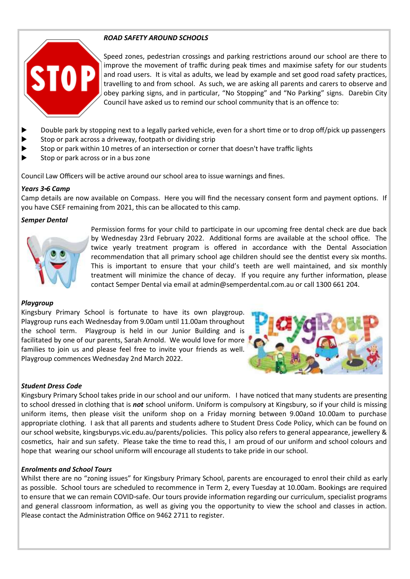#### *ROAD SAFETY AROUND SCHOOLS*



Speed zones, pedestrian crossings and parking restrictions around our school are there to improve the movement of traffic during peak times and maximise safety for our students and road users. It is vital as adults, we lead by example and set good road safety practices, travelling to and from school. As such, we are asking all parents and carers to observe and obey parking signs, and in particular, "No Stopping" and "No Parking" signs. Darebin City Council have asked us to remind our school community that is an offence to:

- Double park by stopping next to a legally parked vehicle, even for a short time or to drop off/pick up passengers
- Stop or park across a driveway, footpath or dividing strip
- Stop or park within 10 metres of an intersection or corner that doesn't have traffic lights
- $\blacktriangleright$  Stop or park across or in a bus zone

Council Law Officers will be active around our school area to issue warnings and fines.

#### *Years 3-6 Camp*

Camp details are now available on Compass. Here you will find the necessary consent form and payment options. If you have CSEF remaining from 2021, this can be allocated to this camp.

#### *Semper Dental*



Permission forms for your child to participate in our upcoming free dental check are due back by Wednesday 23rd February 2022. Additional forms are available at the school office. The twice yearly treatment program is offered in accordance with the Dental Association recommendation that all primary school age children should see the dentist every six months. This is important to ensure that your child's teeth are well maintained, and six monthly treatment will minimize the chance of decay. If you require any further information, please contact Semper Dental via email at admin@semperdental.com.au or call 1300 661 204.

#### *Playgroup*

Kingsbury Primary School is fortunate to have its own playgroup. Playgroup runs each Wednesday from 9.00am until 11.00am throughout the school term. Playgroup is held in our Junior Building and is facilitated by one of our parents, Sarah Arnold. We would love for more families to join us and please feel free to invite your friends as well. Playgroup commences Wednesday 2nd March 2022.



#### *Student Dress Code*

Kingsbury Primary School takes pride in our school and our uniform. I have noticed that many students are presenting to school dressed in clothing that is *not* school uniform. Uniform is compulsory at Kingsbury, so if your child is missing uniform items, then please visit the uniform shop on a Friday morning between 9.00and 10.00am to purchase appropriate clothing. I ask that all parents and students adhere to Student Dress Code Policy, which can be found on our school website, kingsburyps.vic.edu.au/parents/policies. This policy also refers to general appearance, jewellery & cosmetics, hair and sun safety. Please take the time to read this, I am proud of our uniform and school colours and hope that wearing our school uniform will encourage all students to take pride in our school.

#### *Enrolments and School Tours*

Whilst there are no "zoning issues" for Kingsbury Primary School, parents are encouraged to enrol their child as early as possible. School tours are scheduled to recommence in Term 2, every Tuesday at 10.00am. Bookings are required to ensure that we can remain COVID-safe. Our tours provide information regarding our curriculum, specialist programs and general classroom information, as well as giving you the opportunity to view the school and classes in action. Please contact the Administration Office on 9462 2711 to register.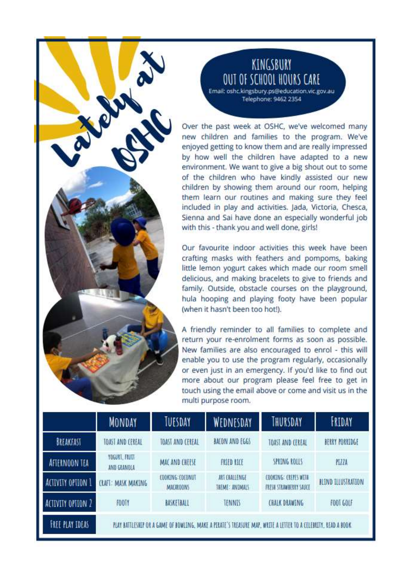### KINGSBURY OUT OF SCHOOL HOURS CARE

Email: oshc.kingsbury.ps@education.vic.gov.au Telephone: 9462 2354

Over the past week at OSHC, we've welcomed many new children and families to the program. We've enjoyed getting to know them and are really impressed by how well the children have adapted to a new environment. We want to give a big shout out to some of the children who have kindly assisted our new children by showing them around our room, helping them learn our routines and making sure they feel included in play and activities. Jada, Victoria, Chesca, Sienna and Sai have done an especially wonderful job with this - thank you and well done, girls!

Our favourite indoor activities this week have been crafting masks with feathers and pompoms, baking little lemon yogurt cakes which made our room smell delicious, and making bracelets to give to friends and family. Outside, obstacle courses on the playground, hula hooping and playing footy have been popular (when it hasn't been too hot!).

A friendly reminder to all families to complete and return your re-enrolment forms as soon as possible. New families are also encouraged to enrol - this will enable you to use the program regularly, occasionally or even just in an emergency. If you'd like to find out more about our program please feel free to get in touch using the email above or come and visit us in the multi purpose room.

|                          | <b>MONDAY</b>                                                                                                  | TUESDAY                              | WEDNESDAY                       | THURSDAY                                       | FRIDAY                           |  |  |  |
|--------------------------|----------------------------------------------------------------------------------------------------------------|--------------------------------------|---------------------------------|------------------------------------------------|----------------------------------|--|--|--|
| BREAKFAST                | TOAST AND CEREAL                                                                                               | TOAST AND CEREAL                     | BACON AND EGGS                  | TOAST AND CEREAL                               | BERRY PORRIDGE                   |  |  |  |
| AFTERNOON TEA            | YOGURT, FRUTT<br>AND GRANDLA                                                                                   | MAC AND CHEESE                       | FRIED RICE                      | SPRING ROLLS                                   | PIZZA                            |  |  |  |
| <b>ACTIVITY OPTION 1</b> | : MASK MAKING<br>TAFT.                                                                                         | CODKING: COCONUT<br><b>MACARDONS</b> | ART CHALLENGE<br>TREME: ANEMALS | COOKING: CREPES WITH<br>FRESH STRAWBERRY SAUCE | <b><i>BLIND ILLUSTRATION</i></b> |  |  |  |
| ACTIVITY OPTION 2        | FOOTY                                                                                                          | BASKETBALL                           | <b>TENNIS</b>                   | <b>CHALK DRAWING</b>                           | F00T GOLF                        |  |  |  |
| <b>FREE PLAY IDEAS</b>   | PLAY BATTLESHIP OR A GAME OF BOWLENG, MAKE A PERATE'S TREASURE MAP, WRITE A LETTER TO A CELEBRITY, READ A BOOK |                                      |                                 |                                                |                                  |  |  |  |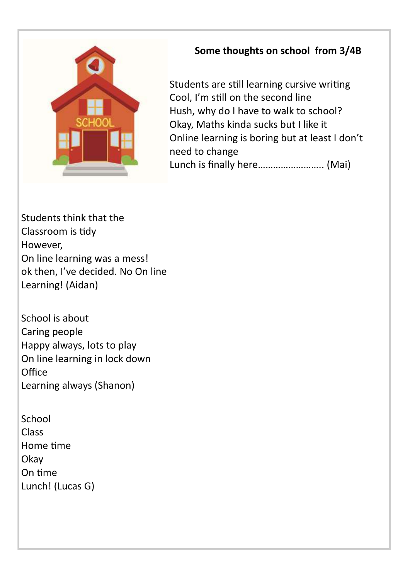

### **Some thoughts on school from 3/4B**

Students are still learning cursive writing Cool, I'm still on the second line Hush, why do I have to walk to school? Okay, Maths kinda sucks but I like it Online learning is boring but at least I don't need to change Lunch is finally here…………………….. (Mai)

Students think that the Classroom is tidy However, On line learning was a mess! ok then, I've decided. No On line Learning! (Aidan)

School is about Caring people Happy always, lots to play On line learning in lock down **Office** Learning always (Shanon)

| School           |
|------------------|
| Class            |
| Home time        |
| Okay             |
| On time          |
| Lunch! (Lucas G) |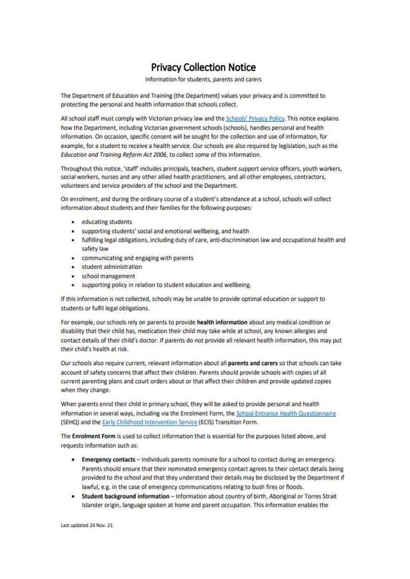### **Privacy Collection Notice**

Information for students, parents and carers

The Department of Education and Training (the Department) values your privacy and is committed to protecting the personal and health information that schools collect.

All school staff must comply with Victorian privacy law and the Schools' Privacy Policy. This notice explains how the Department, including Victorian government schools (schools), handles personal and health information. On occasion, specific consent will be sought for the collection and use of information, for example, for a student to receive a health service. Our schools are also required by legislation, such as the Education and Training Reform Act 2006, to collect some of this information.

Throughout this notice, 'staff' includes principals, teachers, student support service officers, youth workers, social workers, nurses and any other allied health practitioners, and all other employees, contractors, volunteers and service providers of the school and the Department.

On enrolment, and during the ordinary course of a student's attendance at a school, schools will collect information about students and their families for the following purposes:

- educating students
- supporting students' social and emotional wellbeing, and health
- · fulfilling legal obligations, including duty of care, anti-discrimination law and occupational health and safety law
- communicating and engaging with parents
- · student administration
- · school management
- · supporting policy in relation to student education and wellbeing.

If this information is not collected, schools may be unable to provide optimal education or support to students or fulfil legal obligations.

For example, our schools rely on parents to provide health information about any medical condition or disability that their child has, medication their child may take while at school, any known allergies and contact details of their child's doctor. If parents do not provide all relevant health information, this may put their child's health at risk.

Our schools also require current, relevant information about all parents and carers so that schools can take account of safety concerns that affect their children. Parents should provide schools with copies of all current parenting plans and court orders about or that affect their children and provide updated copies when they change.

When parents enrol their child in primary school, they will be asked to provide personal and health information in several ways, including via the Enrolment Form, the School Entrance Health Questionnaire. (SEHQ) and the Early Childhood Intervention Service (ECIS) Transition Form.

The Enrolment Form is used to collect information that is essential for the purposes listed above, and requests information such as:

- . Emergency contacts Individuals parents nominate for a school to contact during an emergency. Parents should ensure that their nominated emergency contact agrees to their contact details being provided to the school and that they understand their details may be disclosed by the Department if lawful, e.g. in the case of emergency communications relating to bush fires or floods.
- . Student background information Information about country of birth, Aboriginal or Torres Strait Islander origin, language spoken at home and parent occupation. This information enables the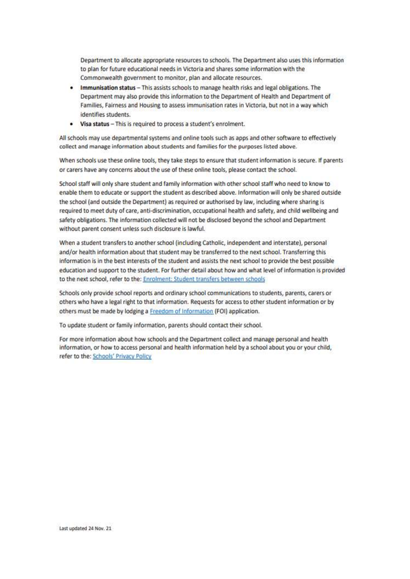Department to allocate appropriate resources to schools. The Department also uses this information to plan for future educational needs in Victoria and shares some information with the Commonwealth government to monitor, plan and allocate resources.

- Immunisation status This assists schools to manage health risks and legal obligations. The Department may also provide this information to the Department of Health and Department of Families, Fairness and Housing to assess immunisation rates in Victoria, but not in a way which identifies students.
- Visa status This is required to process a student's enrolment.

All schools may use departmental systems and online tools such as apps and other software to effectively collect and manage information about students and families for the purposes listed above.

When schools use these online tools, they take steps to ensure that student information is secure. If parents or carers have any concerns about the use of these online tools, please contact the school.

School staff will only share student and family information with other school staff who need to know to enable them to educate or support the student as described above. Information will only be shared outside the school (and outside the Department) as required or authorised by law, including where sharing is required to meet duty of care, anti-discrimination, occupational health and safety, and child wellbeing and safety obligations. The information collected will not be disclosed beyond the school and Department without parent consent unless such disclosure is lawful.

When a student transfers to another school (including Catholic, independent and interstate), personal and/or health information about that student may be transferred to the next school. Transferring this information is in the best interests of the student and assists the next school to provide the best possible education and support to the student. For further detail about how and what level of information is provided to the next school, refer to the: Enrolment: Student transfers between schools

Schools only provide school reports and ordinary school communications to students, parents, carers or others who have a legal right to that information. Requests for access to other student information or by others must be made by lodging a Freedom of Information (FOI) application.

To update student or family information, parents should contact their school.

For more information about how schools and the Department collect and manage personal and health information, or how to access personal and health information held by a school about you or your child, refer to the: Schools' Privacy Policy